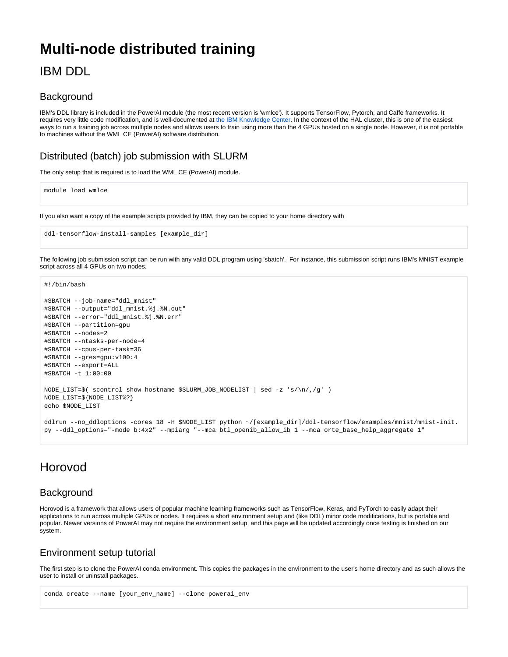# **Multi-node distributed training**

## IBM DDL

#### **Background**

IBM's DDL library is included in the PowerAI module (the most recent version is 'wmlce'). It supports TensorFlow, Pytorch, and Caffe frameworks. It requires very little code modification, and is well-documented at [the IBM Knowledge Center](https://www.ibm.com/support/knowledgecenter/en/SS5SF7_1.6.0/navigation/pai_ddltf_tutorial.html). In the context of the HAL cluster, this is one of the easiest ways to run a training job across multiple nodes and allows users to train using more than the 4 GPUs hosted on a single node. However, it is not portable to machines without the WML CE (PowerAI) software distribution.

### Distributed (batch) job submission with SLURM

The only setup that is required is to load the WML CE (PowerAI) module.

module load wmlce

If you also want a copy of the example scripts provided by IBM, they can be copied to your home directory with

```
ddl-tensorflow-install-samples [example_dir]
```
The following job submission script can be run with any valid DDL program using 'sbatch'. For instance, this submission script runs IBM's MNIST example script across all 4 GPUs on two nodes.

#!/bin/bash

```
#SBATCH --job-name="ddl_mnist"
#SBATCH --output="ddl_mnist.%j.%N.out"
#SBATCH --error="ddl_mnist.%j.%N.err" 
#SBATCH --partition=gpu 
#SBATCH --nodes=2
#SBATCH --ntasks-per-node=4
#SBATCH --cpus-per-task=36
#SBATCH --gres=gpu:v100:4
#SBATCH --export=ALL 
#SBATCH -t 1:00:00 
NODE_LIST=$( scontrol show hostname $SLURM_JOB_NODELIST | sed -z 's/\n/,/g' )
NODE_LIST=${NODE_LIST%?}
echo $NODE_LIST
ddlrun --no_ddloptions -cores 18 -H $NODE_LIST python ~/[example_dir]/ddl-tensorflow/examples/mnist/mnist-init.
```
py --ddl\_options="-mode b:4x2" --mpiarg "--mca btl\_openib\_allow\_ib 1 --mca orte\_base\_help\_aggregate 1"

### Horovod

### **Background**

Horovod is a framework that allows users of popular machine learning frameworks such as TensorFlow, Keras, and PyTorch to easily adapt their applications to run across multiple GPUs or nodes. It requires a short environment setup and (like DDL) minor code modifications, but is portable and popular. Newer versions of PowerAI may not require the environment setup, and this page will be updated accordingly once testing is finished on our system.

### Environment setup tutorial

The first step is to clone the PowerAI conda environment. This copies the packages in the environment to the user's home directory and as such allows the user to install or uninstall packages.

```
conda create --name [your_env_name] --clone powerai_env
```